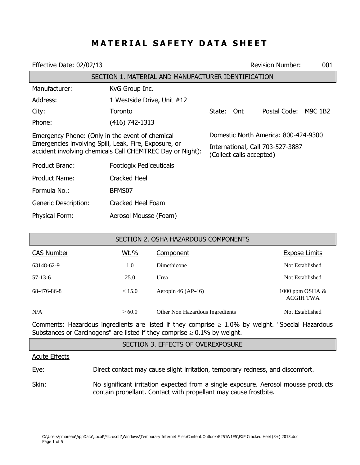# **MATERIAL SAFETY DATA SHEET**

| Effective Date: 02/02/13                                                                                                                                              |                            |                                                              | <b>Revision Number:</b> | 001          |         |
|-----------------------------------------------------------------------------------------------------------------------------------------------------------------------|----------------------------|--------------------------------------------------------------|-------------------------|--------------|---------|
| SECTION 1. MATERIAL AND MANUFACTURER IDENTIFICATION                                                                                                                   |                            |                                                              |                         |              |         |
| Manufacturer:                                                                                                                                                         | KvG Group Inc.             |                                                              |                         |              |         |
| Address:                                                                                                                                                              | 1 Westside Drive, Unit #12 |                                                              |                         |              |         |
| City:                                                                                                                                                                 | Toronto                    | State: Ont                                                   |                         | Postal Code: | M9C 1B2 |
| Phone:                                                                                                                                                                | (416) 742-1313             |                                                              |                         |              |         |
| Emergency Phone: (Only in the event of chemical<br>Emergencies involving Spill, Leak, Fire, Exposure, or<br>accident involving chemicals Call CHEMTREC Day or Night): |                            | Domestic North America: 800-424-9300                         |                         |              |         |
|                                                                                                                                                                       |                            | International, Call 703-527-3887<br>(Collect calls accepted) |                         |              |         |
| Product Brand:                                                                                                                                                        | Footlogix Pediceuticals    |                                                              |                         |              |         |
| Product Name:                                                                                                                                                         | <b>Cracked Heel</b>        |                                                              |                         |              |         |
| Formula No.:                                                                                                                                                          | BFMS07                     |                                                              |                         |              |         |
| <b>Generic Description:</b>                                                                                                                                           | Cracked Heel Foam          |                                                              |                         |              |         |
| <b>Physical Form:</b>                                                                                                                                                 | Aerosol Mousse (Foam)      |                                                              |                         |              |         |

| SECTION 2. OSHA HAZARDOUS COMPONENTS |             |                                 |                                       |
|--------------------------------------|-------------|---------------------------------|---------------------------------------|
| <b>CAS Number</b>                    | Wt.%        | Component                       | <b>Expose Limits</b>                  |
| 63148-62-9                           | 1.0         | Dimethicone                     | Not Established                       |
| $57-13-6$                            | 25.0        | Urea                            | Not Established                       |
| 68-476-86-8                          | < 15.0      | Aeropin $46$ (AP-46)            | 1000 ppm OSHA $&$<br><b>ACGIH TWA</b> |
| N/A                                  | $\geq 60.0$ | Other Non Hazardous Ingredients | Not Established                       |

Comments: Hazardous ingredients are listed if they comprise  $\geq 1.0\%$  by weight. "Special Hazardous Substances or Carcinogens" are listed if they comprise  $\geq 0.1\%$  by weight.

#### SECTION 3. EFFECTS OF OVEREXPOSURE

#### Acute Effects

Eye: Direct contact may cause slight irritation, temporary redness, and discomfort.

Skin: No significant irritation expected from a single exposure. Aerosol mousse products contain propellant. Contact with propellant may cause frostbite.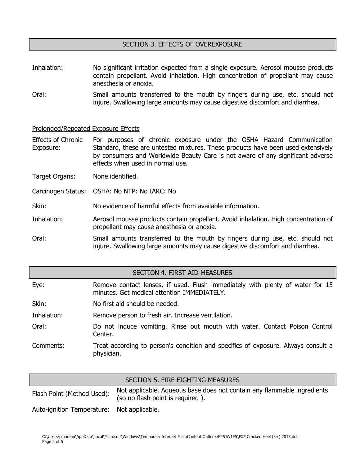#### SECTION 3. EFFECTS OF OVEREXPOSURE

- Inhalation: No significant irritation expected from a single exposure. Aerosol mousse products contain propellant. Avoid inhalation. High concentration of propellant may cause anesthesia or anoxia.
- Oral: Small amounts transferred to the mouth by fingers during use, etc. should not injure. Swallowing large amounts may cause digestive discomfort and diarrhea.

#### Prolonged/Repeated Exposure Effects

Effects of Chronic Exposure: For purposes of chronic exposure under the OSHA Hazard Communication Standard, these are untested mixtures. These products have been used extensively by consumers and Worldwide Beauty Care is not aware of any significant adverse effects when used in normal use.

Target Organs: None identified.

Carcinogen Status: OSHA: No NTP: No IARC: No

Skin: No evidence of harmful effects from available information.

Inhalation: Aerosol mousse products contain propellant. Avoid inhalation. High concentration of propellant may cause anesthesia or anoxia.

Oral: Small amounts transferred to the mouth by fingers during use, etc. should not injure. Swallowing large amounts may cause digestive discomfort and diarrhea.

#### SECTION 4. FIRST AID MEASURES

| Eye:        | Remove contact lenses, if used. Flush immediately with plenty of water for 15<br>minutes. Get medical attention IMMEDIATELY. |
|-------------|------------------------------------------------------------------------------------------------------------------------------|
| Skin:       | No first aid should be needed.                                                                                               |
| Inhalation: | Remove person to fresh air. Increase ventilation.                                                                            |
| Oral:       | Do not induce vomiting. Rinse out mouth with water. Contact Poison Control<br>Center.                                        |
| Comments:   | Treat according to person's condition and specifics of exposure. Always consult a<br>physician.                              |

|                                            | SECTION 5. FIRE FIGHTING MEASURES                                                                           |
|--------------------------------------------|-------------------------------------------------------------------------------------------------------------|
| Flash Point (Method Used):                 | Not applicable. Aqueous base does not contain any flammable ingredients<br>(so no flash point is required). |
| Auto-ignition Temperature: Not applicable. |                                                                                                             |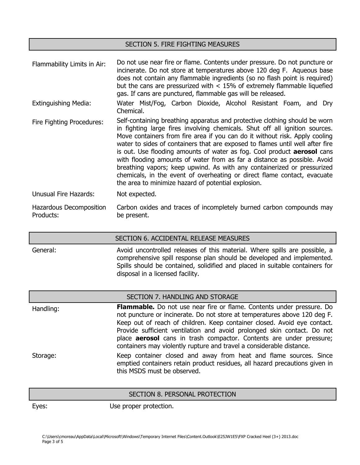#### SECTION 5. FIRE FIGHTING MEASURES

Flammability Limits in Air: Do not use near fire or flame. Contents under pressure. Do not puncture or incinerate. Do not store at temperatures above 120 deg F. Aqueous base does not contain any flammable ingredients (so no flash point is required) but the cans are pressurized with < 15% of extremely flammable liquefied gas. If cans are punctured, flammable gas will be released.

- Extinguishing Media: Water Mist/Fog, Carbon Dioxide, Alcohol Resistant Foam, and Dry Chemical.
- Fire Fighting Procedures: Self-containing breathing apparatus and protective clothing should be worn in fighting large fires involving chemicals. Shut off all ignition sources. Move containers from fire area if you can do it without risk. Apply cooling water to sides of containers that are exposed to flames until well after fire is out. Use flooding amounts of water as fog. Cool product **aerosol** cans with flooding amounts of water from as far a distance as possible. Avoid breathing vapors; keep upwind. As with any containerized or pressurized chemicals, in the event of overheating or direct flame contact, evacuate the area to minimize hazard of potential explosion.

Unusual Fire Hazards: Not expected.

Hazardous Decomposition Products: Carbon oxides and traces of incompletely burned carbon compounds may be present.

SECTION 6. ACCIDENTAL RELEASE MEASURES

General: Avoid uncontrolled releases of this material. Where spills are possible, a comprehensive spill response plan should be developed and implemented. Spills should be contained, solidified and placed in suitable containers for disposal in a licensed facility.

#### SECTION 7. HANDLING AND STORAGE

Handling: **Flammable.** Do not use near fire or flame. Contents under pressure. Do not puncture or incinerate. Do not store at temperatures above 120 deg F. Keep out of reach of children. Keep container closed. Avoid eye contact. Provide sufficient ventilation and avoid prolonged skin contact. Do not place **aerosol** cans in trash compactor. Contents are under pressure; containers may violently rupture and travel a considerable distance. Storage: Keep container closed and away from heat and flame sources. Since emptied containers retain product residues, all hazard precautions given in

#### SECTION 8. PERSONAL PROTECTION

Eyes: Use proper protection.

this MSDS must be observed.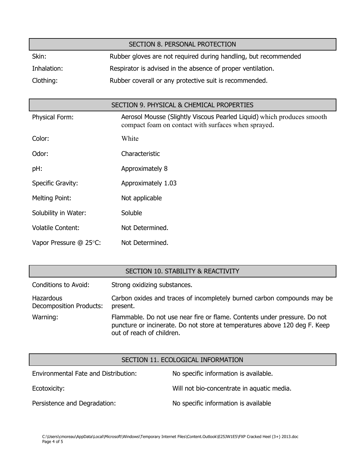| SECTION 8. PERSONAL PROTECTION |                                                                 |  |  |
|--------------------------------|-----------------------------------------------------------------|--|--|
| Skin:                          | Rubber gloves are not required during handling, but recommended |  |  |
| Inhalation:                    | Respirator is advised in the absence of proper ventilation.     |  |  |
| Clothing:                      | Rubber coverall or any protective suit is recommended.          |  |  |

| SECTION 9. PHYSICAL & CHEMICAL PROPERTIES |                                                                                                                               |  |  |
|-------------------------------------------|-------------------------------------------------------------------------------------------------------------------------------|--|--|
| <b>Physical Form:</b>                     | Aerosol Mousse (Slightly Viscous Pearled Liquid) which produces smooth<br>compact foam on contact with surfaces when sprayed. |  |  |
| Color:                                    | White                                                                                                                         |  |  |
| Odor:                                     | Characteristic                                                                                                                |  |  |
| pH:                                       | Approximately 8                                                                                                               |  |  |
| Specific Gravity:                         | Approximately 1.03                                                                                                            |  |  |
| <b>Melting Point:</b>                     | Not applicable                                                                                                                |  |  |
| Solubility in Water:                      | Soluble                                                                                                                       |  |  |
| <b>Volatile Content:</b>                  | Not Determined.                                                                                                               |  |  |
| Vapor Pressure @ 25°C:                    | Not Determined.                                                                                                               |  |  |

## SECTION 10. STABILITY & REACTIVITY

| Conditions to Avoid:                 | Strong oxidizing substances.                                                                                                                                                         |
|--------------------------------------|--------------------------------------------------------------------------------------------------------------------------------------------------------------------------------------|
| Hazardous<br>Decomposition Products: | Carbon oxides and traces of incompletely burned carbon compounds may be<br>present.                                                                                                  |
| Warning:                             | Flammable. Do not use near fire or flame. Contents under pressure. Do not<br>puncture or incinerate. Do not store at temperatures above 120 deg F. Keep<br>out of reach of children. |

### SECTION 11. ECOLOGICAL INFORMATION

| Environmental Fate and Distribution: | No specific information is available.      |
|--------------------------------------|--------------------------------------------|
| Ecotoxicity:                         | Will not bio-concentrate in aquatic media. |
| Persistence and Degradation:         | No specific information is available       |